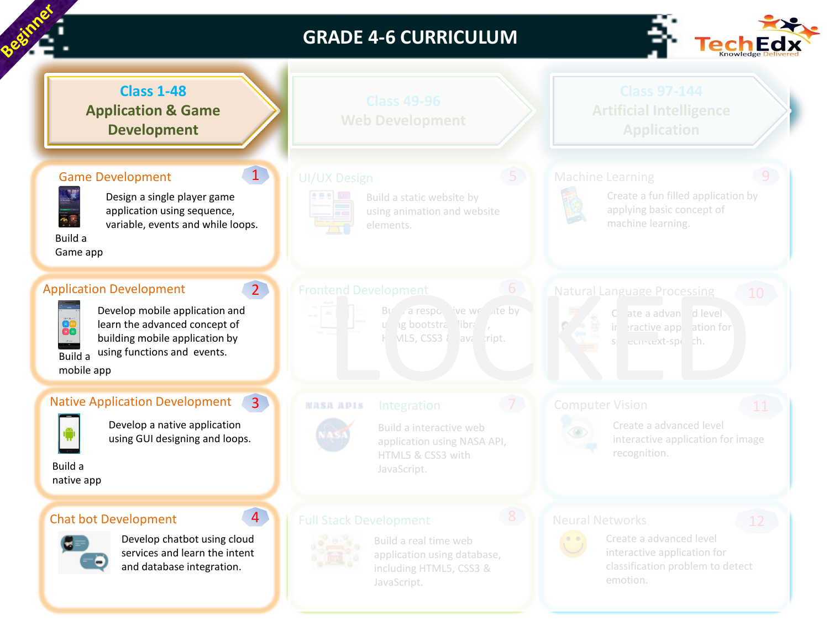

## **GRADE 4-6 CURRICULUM**



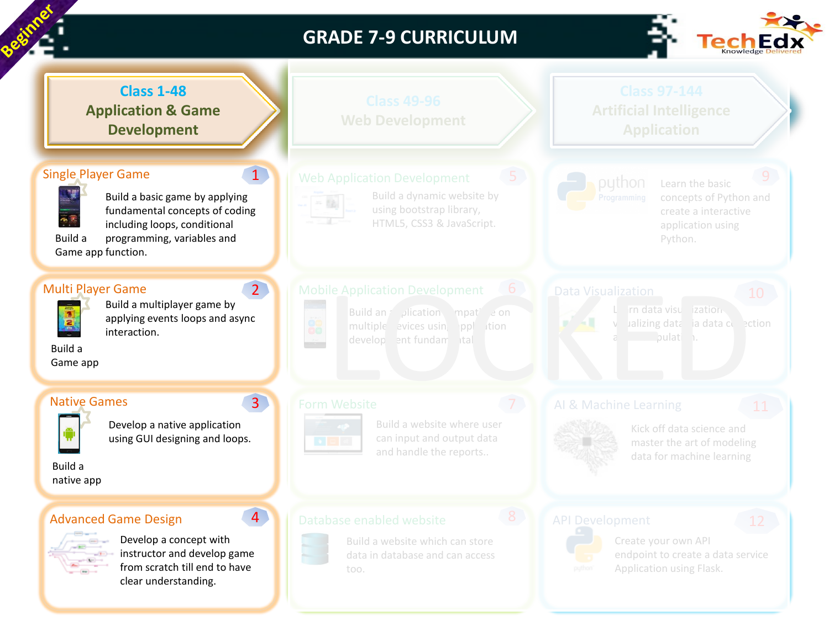

## **GRADE 7-9 CURRICULUM**